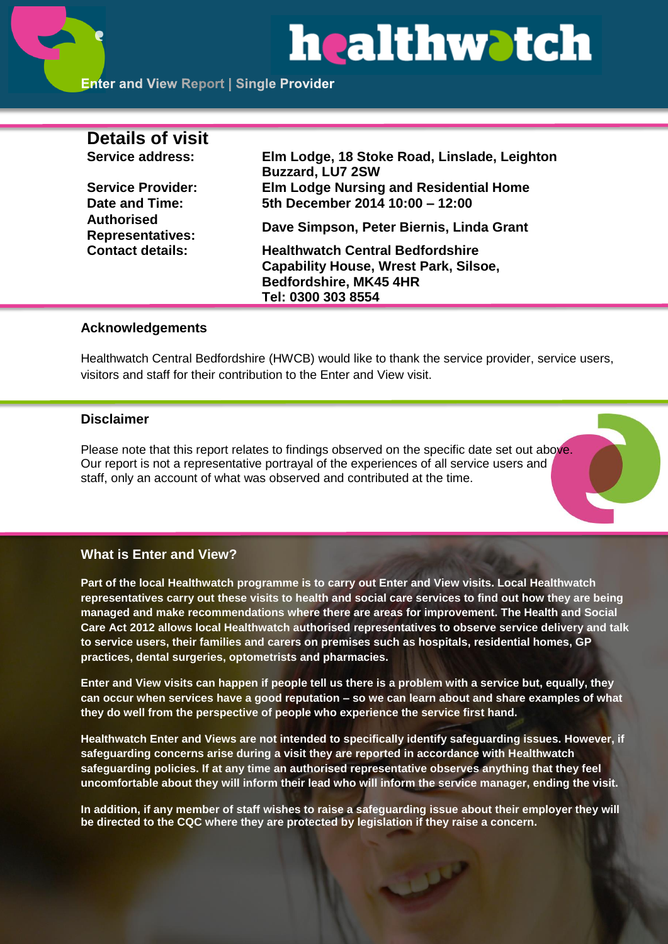# healthwatch

| <b>Details of visit</b>                      |                                                                         |
|----------------------------------------------|-------------------------------------------------------------------------|
| Service address:                             | Elm Lodge, 18 Stoke Road, Linslade, Leighton<br><b>Buzzard, LU7 2SW</b> |
| <b>Service Provider:</b>                     | <b>Elm Lodge Nursing and Residential Home</b>                           |
| Date and Time:                               | 5th December 2014 10:00 - 12:00                                         |
| <b>Authorised</b><br><b>Representatives:</b> | Dave Simpson, Peter Biernis, Linda Grant                                |
| <b>Contact details:</b>                      | <b>Healthwatch Central Bedfordshire</b>                                 |
|                                              | <b>Capability House, Wrest Park, Silsoe,</b>                            |
|                                              | Bedfordshire, MK45 4HR                                                  |
|                                              | Tel: 0300 303 8554                                                      |
|                                              |                                                                         |

# **Acknowledgements**

Healthwatch Central Bedfordshire (HWCB) would like to thank the service provider, service users, visitors and staff for their contribution to the Enter and View visit.

#### **Disclaimer**

Please note that this report relates to findings observed on the specific date set out above. Our report is not a representative portrayal of the experiences of all service users and staff, only an account of what was observed and contributed at the time.

### **What is Enter and View?**

**Part of the local Healthwatch programme is to carry out Enter and View visits. Local Healthwatch representatives carry out these visits to health and social care services to find out how they are being managed and make recommendations where there are areas for improvement. The Health and Social Care Act 2012 allows local Healthwatch authorised representatives to observe service delivery and talk to service users, their families and carers on premises such as hospitals, residential homes, GP practices, dental surgeries, optometrists and pharmacies.** 

**Enter and View visits can happen if people tell us there is a problem with a service but, equally, they can occur when services have a good reputation – so we can learn about and share examples of what they do well from the perspective of people who experience the service first hand.**

**Healthwatch Enter and Views are not intended to specifically identify safeguarding issues. However, if safeguarding concerns arise during a visit they are reported in accordance with Healthwatch safeguarding policies. If at any time an authorised representative observes anything that they feel uncomfortable about they will inform their lead who will inform the service manager, ending the visit.** 

**In addition, if any member of staff wishes to raise a safeguarding issue about their employer they will be directed to the CQC where they are protected by legislation if they raise a concern.**

فلملات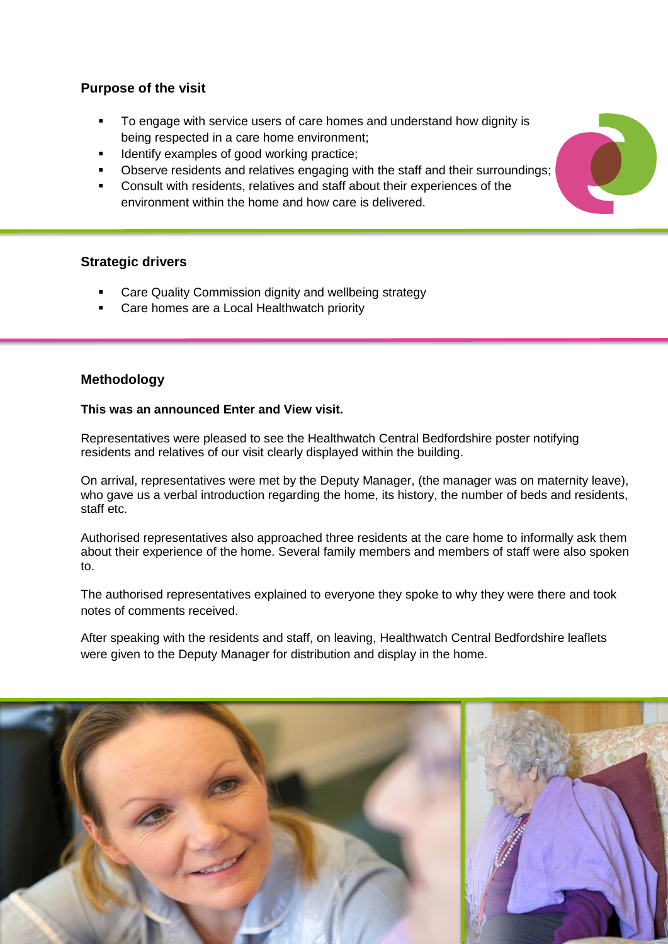# **Purpose of the visit**

- To engage with service users of care homes and understand how dignity is being respected in a care home environment;
- Identify examples of good working practice;
- Observe residents and relatives engaging with the staff and their surroundings;
- Consult with residents, relatives and staff about their experiences of the environment within the home and how care is delivered.

# **Strategic drivers**

- Care Quality Commission dignity and wellbeing strategy
- Care homes are a Local Healthwatch priority

# **Methodology**

#### **This was an announced Enter and View visit.**

Representatives were pleased to see the Healthwatch Central Bedfordshire poster notifying residents and relatives of our visit clearly displayed within the building.

On arrival, representatives were met by the Deputy Manager, (the manager was on maternity leave), who gave us a verbal introduction regarding the home, its history, the number of beds and residents, staff etc.

Authorised representatives also approached three residents at the care home to informally ask them about their experience of the home. Several family members and members of staff were also spoken to.

The authorised representatives explained to everyone they spoke to why they were there and took notes of comments received.

After speaking with the residents and staff, on leaving, Healthwatch Central Bedfordshire leaflets were given to the Deputy Manager for distribution and display in the home.



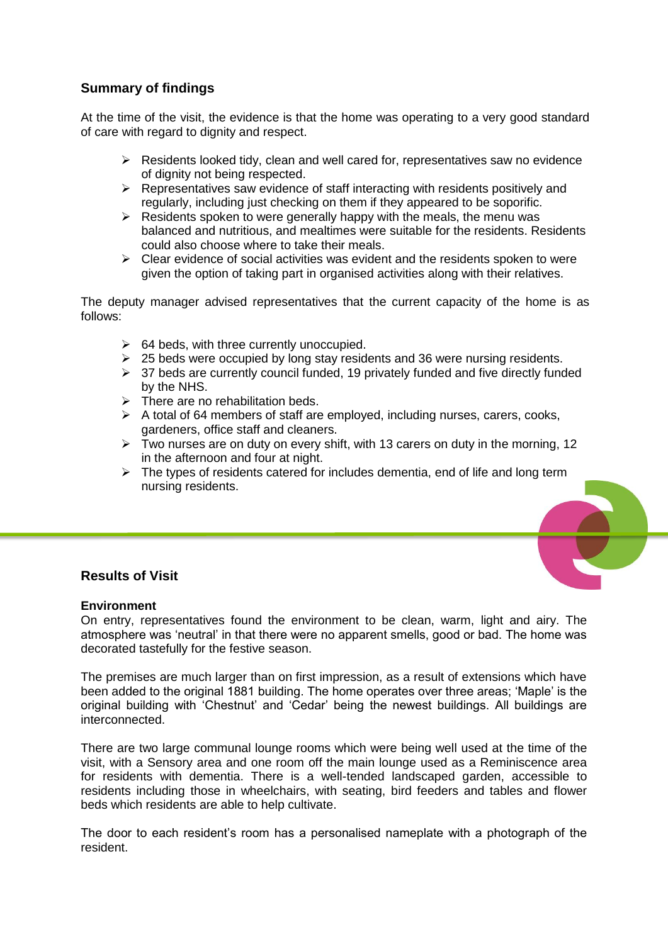# **Summary of findings**

At the time of the visit, the evidence is that the home was operating to a very good standard of care with regard to dignity and respect.

- $\triangleright$  Residents looked tidy, clean and well cared for, representatives saw no evidence of dignity not being respected.
- $\triangleright$  Representatives saw evidence of staff interacting with residents positively and regularly, including just checking on them if they appeared to be soporific.
- $\triangleright$  Residents spoken to were generally happy with the meals, the menu was balanced and nutritious, and mealtimes were suitable for the residents. Residents could also choose where to take their meals.
- $\triangleright$  Clear evidence of social activities was evident and the residents spoken to were given the option of taking part in organised activities along with their relatives.

The deputy manager advised representatives that the current capacity of the home is as follows:

- $\geq$  64 beds, with three currently unoccupied.
- $\geq$  25 beds were occupied by long stay residents and 36 were nursing residents.
- $\geq$  37 beds are currently council funded, 19 privately funded and five directly funded by the NHS.
- $\triangleright$  There are no rehabilitation beds.
- $\triangleright$  A total of 64 members of staff are emploved, including nurses, carers, cooks, gardeners, office staff and cleaners.
- $\triangleright$  Two nurses are on duty on every shift, with 13 carers on duty in the morning, 12 in the afternoon and four at night.
- $\triangleright$  The types of residents catered for includes dementia, end of life and long term nursing residents.

# **Results of Visit**

#### **Environment**

On entry, representatives found the environment to be clean, warm, light and airy. The atmosphere was 'neutral' in that there were no apparent smells, good or bad. The home was decorated tastefully for the festive season.

The premises are much larger than on first impression, as a result of extensions which have been added to the original 1881 building. The home operates over three areas; 'Maple' is the original building with 'Chestnut' and 'Cedar' being the newest buildings. All buildings are interconnected.

There are two large communal lounge rooms which were being well used at the time of the visit, with a Sensory area and one room off the main lounge used as a Reminiscence area for residents with dementia. There is a well-tended landscaped garden, accessible to residents including those in wheelchairs, with seating, bird feeders and tables and flower beds which residents are able to help cultivate.

The door to each resident's room has a personalised nameplate with a photograph of the resident.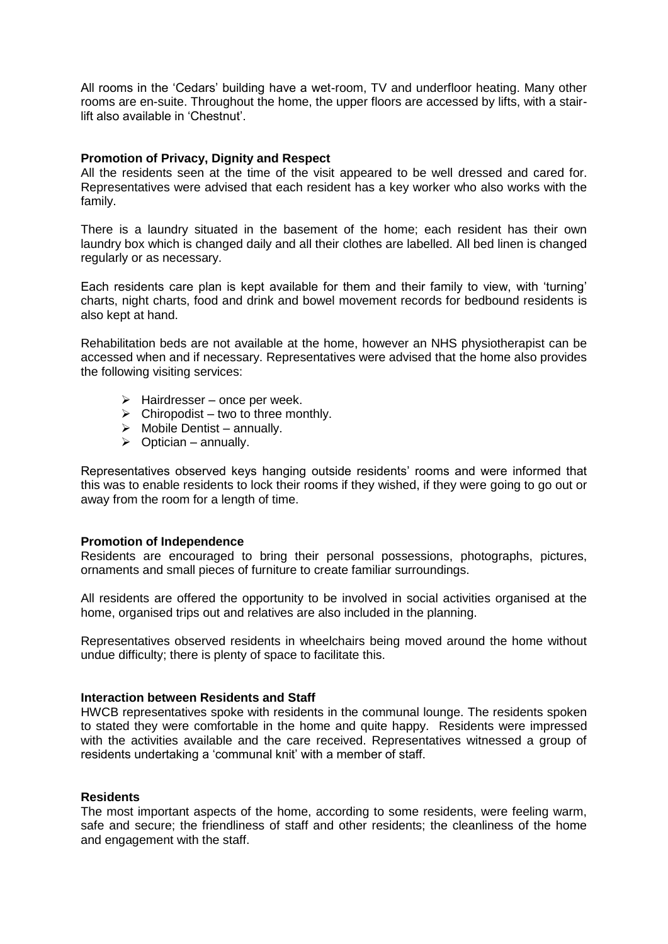All rooms in the 'Cedars' building have a wet-room, TV and underfloor heating. Many other rooms are en-suite. Throughout the home, the upper floors are accessed by lifts, with a stairlift also available in 'Chestnut'.

#### **Promotion of Privacy, Dignity and Respect**

All the residents seen at the time of the visit appeared to be well dressed and cared for. Representatives were advised that each resident has a key worker who also works with the family.

There is a laundry situated in the basement of the home; each resident has their own laundry box which is changed daily and all their clothes are labelled. All bed linen is changed regularly or as necessary.

Each residents care plan is kept available for them and their family to view, with 'turning' charts, night charts, food and drink and bowel movement records for bedbound residents is also kept at hand.

Rehabilitation beds are not available at the home, however an NHS physiotherapist can be accessed when and if necessary. Representatives were advised that the home also provides the following visiting services:

- $\triangleright$  Hairdresser once per week.
- $\triangleright$  Chiropodist two to three monthly.
- $\triangleright$  Mobile Dentist annually.
- $\triangleright$  Optician annually.

Representatives observed keys hanging outside residents' rooms and were informed that this was to enable residents to lock their rooms if they wished, if they were going to go out or away from the room for a length of time.

#### **Promotion of Independence**

Residents are encouraged to bring their personal possessions, photographs, pictures, ornaments and small pieces of furniture to create familiar surroundings.

All residents are offered the opportunity to be involved in social activities organised at the home, organised trips out and relatives are also included in the planning.

Representatives observed residents in wheelchairs being moved around the home without undue difficulty; there is plenty of space to facilitate this.

#### **Interaction between Residents and Staff**

HWCB representatives spoke with residents in the communal lounge. The residents spoken to stated they were comfortable in the home and quite happy. Residents were impressed with the activities available and the care received. Representatives witnessed a group of residents undertaking a 'communal knit' with a member of staff.

#### **Residents**

The most important aspects of the home, according to some residents, were feeling warm, safe and secure; the friendliness of staff and other residents; the cleanliness of the home and engagement with the staff.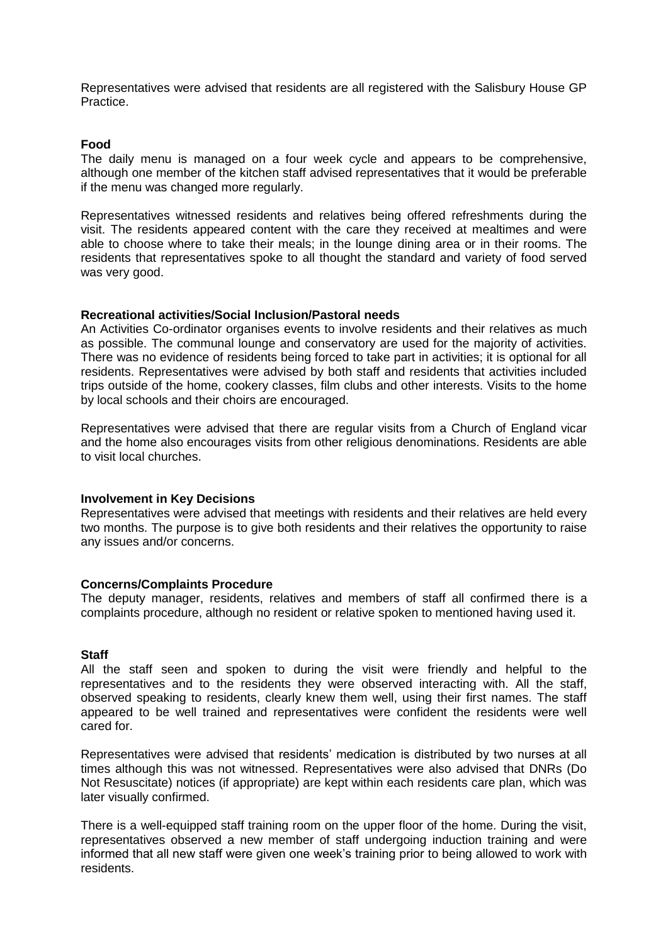Representatives were advised that residents are all registered with the Salisbury House GP Practice.

#### **Food**

The daily menu is managed on a four week cycle and appears to be comprehensive, although one member of the kitchen staff advised representatives that it would be preferable if the menu was changed more regularly.

Representatives witnessed residents and relatives being offered refreshments during the visit. The residents appeared content with the care they received at mealtimes and were able to choose where to take their meals; in the lounge dining area or in their rooms. The residents that representatives spoke to all thought the standard and variety of food served was very good.

#### **Recreational activities/Social Inclusion/Pastoral needs**

An Activities Co-ordinator organises events to involve residents and their relatives as much as possible. The communal lounge and conservatory are used for the majority of activities. There was no evidence of residents being forced to take part in activities; it is optional for all residents. Representatives were advised by both staff and residents that activities included trips outside of the home, cookery classes, film clubs and other interests. Visits to the home by local schools and their choirs are encouraged.

Representatives were advised that there are regular visits from a Church of England vicar and the home also encourages visits from other religious denominations. Residents are able to visit local churches.

#### **Involvement in Key Decisions**

Representatives were advised that meetings with residents and their relatives are held every two months. The purpose is to give both residents and their relatives the opportunity to raise any issues and/or concerns.

#### **Concerns/Complaints Procedure**

The deputy manager, residents, relatives and members of staff all confirmed there is a complaints procedure, although no resident or relative spoken to mentioned having used it.

#### **Staff**

All the staff seen and spoken to during the visit were friendly and helpful to the representatives and to the residents they were observed interacting with. All the staff, observed speaking to residents, clearly knew them well, using their first names. The staff appeared to be well trained and representatives were confident the residents were well cared for.

Representatives were advised that residents' medication is distributed by two nurses at all times although this was not witnessed. Representatives were also advised that DNRs (Do Not Resuscitate) notices (if appropriate) are kept within each residents care plan, which was later visually confirmed.

There is a well-equipped staff training room on the upper floor of the home. During the visit, representatives observed a new member of staff undergoing induction training and were informed that all new staff were given one week's training prior to being allowed to work with residents.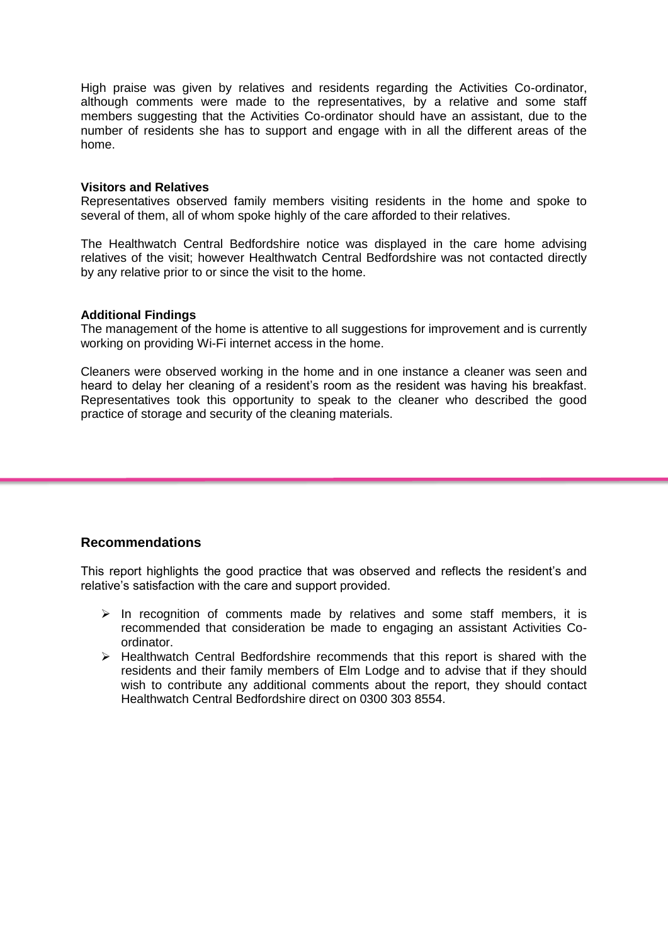High praise was given by relatives and residents regarding the Activities Co-ordinator, although comments were made to the representatives, by a relative and some staff members suggesting that the Activities Co-ordinator should have an assistant, due to the number of residents she has to support and engage with in all the different areas of the home.

#### **Visitors and Relatives**

Representatives observed family members visiting residents in the home and spoke to several of them, all of whom spoke highly of the care afforded to their relatives.

The Healthwatch Central Bedfordshire notice was displayed in the care home advising relatives of the visit; however Healthwatch Central Bedfordshire was not contacted directly by any relative prior to or since the visit to the home.

#### **Additional Findings**

The management of the home is attentive to all suggestions for improvement and is currently working on providing Wi-Fi internet access in the home.

Cleaners were observed working in the home and in one instance a cleaner was seen and heard to delay her cleaning of a resident's room as the resident was having his breakfast. Representatives took this opportunity to speak to the cleaner who described the good practice of storage and security of the cleaning materials.

#### **Recommendations**

This report highlights the good practice that was observed and reflects the resident's and relative's satisfaction with the care and support provided.

- $\triangleright$  In recognition of comments made by relatives and some staff members, it is recommended that consideration be made to engaging an assistant Activities Coordinator.
- $\triangleright$  Healthwatch Central Bedfordshire recommends that this report is shared with the residents and their family members of Elm Lodge and to advise that if they should wish to contribute any additional comments about the report, they should contact Healthwatch Central Bedfordshire direct on 0300 303 8554.